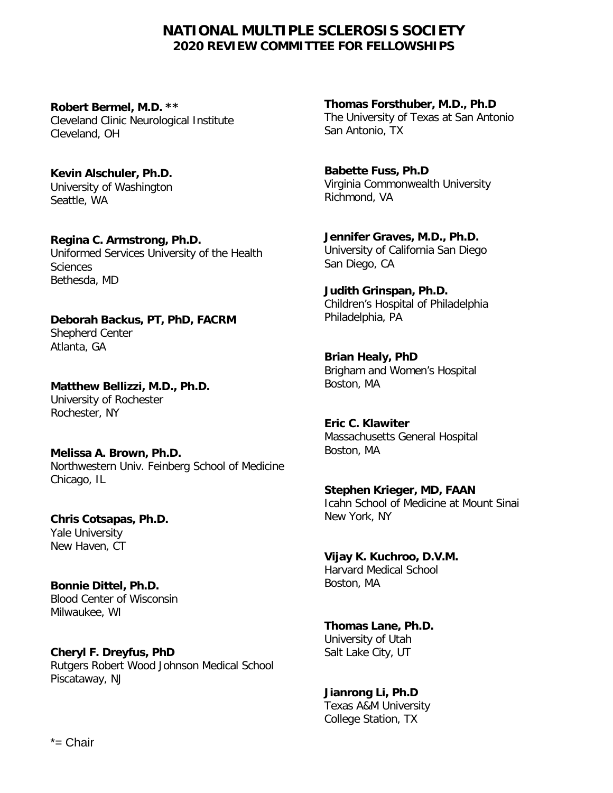# **NATIONAL MULTIPLE SCLEROSIS SOCIETY 2020 REVIEW COMMITTEE FOR FELLOWSHIPS**

**Robert Bermel, M.D. \*\*** Cleveland Clinic Neurological Institute Cleveland, OH

**Kevin Alschuler, Ph.D.** University of Washington Seattle, WA

**Regina C. Armstrong, Ph.D.** Uniformed Services University of the Health **Sciences** Bethesda, MD

**Deborah Backus, PT, PhD, FACRM**  Shepherd Center Atlanta, GA

**Matthew Bellizzi, M.D., Ph.D.** University of Rochester Rochester, NY

**Melissa A. Brown, Ph.D.** Northwestern Univ. Feinberg School of Medicine Chicago, IL

**Chris Cotsapas, Ph.D.** Yale University New Haven, CT

**Bonnie Dittel, Ph.D.** Blood Center of Wisconsin Milwaukee, WI

**Cheryl F. Dreyfus, PhD** Rutgers Robert Wood Johnson Medical School Piscataway, NJ

**Thomas Forsthuber, M.D., Ph.D** The University of Texas at San Antonio San Antonio, TX

**Babette Fuss, Ph.D** Virginia Commonwealth University Richmond, VA

**Jennifer Graves, M.D., Ph.D.** University of California San Diego San Diego, CA

**Judith Grinspan, Ph.D.**  Children's Hospital of Philadelphia Philadelphia, PA

**Brian Healy, PhD** Brigham and Women's Hospital Boston, MA

**Eric C. Klawiter**  Massachusetts General Hospital Boston, MA

**Stephen Krieger, MD, FAAN** Icahn School of Medicine at Mount Sinai New York, NY

**Vijay K. Kuchroo, D.V.M.** Harvard Medical School Boston, MA

**Thomas Lane, Ph.D.** University of Utah Salt Lake City, UT

**Jianrong Li, Ph.D** Texas A&M University College Station, TX